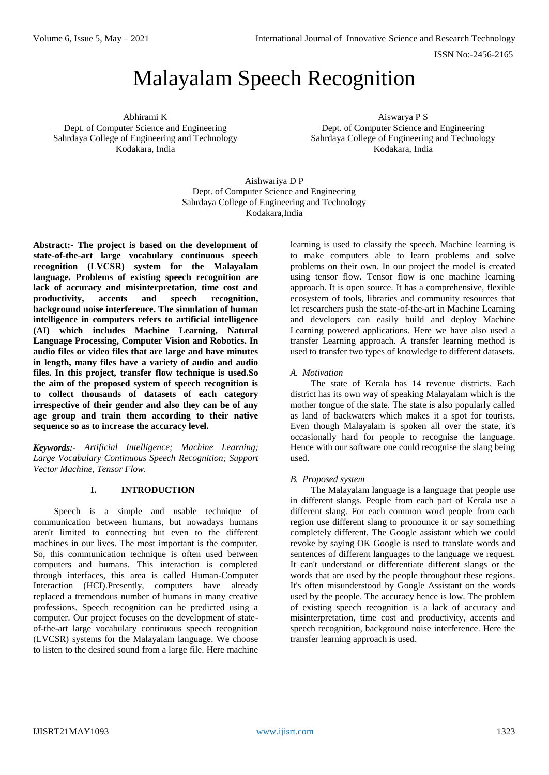ISSN No:-2456-2165

# Malayalam Speech Recognition

Abhirami K Dept. of Computer Science and Engineering Sahrdaya College of Engineering and Technology Kodakara, India

Aiswarya P S Dept. of Computer Science and Engineering Sahrdaya College of Engineering and Technology Kodakara, India

### Aishwariya D P Dept. of Computer Science and Engineering Sahrdaya College of Engineering and Technology Kodakara,India

**Abstract:- The project is based on the development of state-of-the-art large vocabulary continuous speech recognition (LVCSR) system for the Malayalam language. Problems of existing speech recognition are lack of accuracy and misinterpretation, time cost and productivity, accents and speech recognition, background noise interference. The simulation of human intelligence in computers refers to artificial intelligence (AI) which includes Machine Learning, Natural Language Processing, Computer Vision and Robotics. In audio files or video files that are large and have minutes in length, many files have a variety of audio and audio files. In this project, transfer flow technique is used.So the aim of the proposed system of speech recognition is to collect thousands of datasets of each category irrespective of their gender and also they can be of any age group and train them according to their native sequence so as to increase the accuracy level.** 

*Keywords:- Artificial Intelligence; Machine Learning; Large Vocabulary Continuous Speech Recognition; Support Vector Machine, Tensor Flow.*

### **I. INTRODUCTION**

Speech is a simple and usable technique of communication between humans, but nowadays humans aren't limited to connecting but even to the different machines in our lives. The most important is the computer. So, this communication technique is often used between computers and humans. This interaction is completed through interfaces, this area is called Human-Computer Interaction (HCI).Presently, computers have already replaced a tremendous number of humans in many creative professions. Speech recognition can be predicted using a computer. Our project focuses on the development of stateof-the-art large vocabulary continuous speech recognition (LVCSR) systems for the Malayalam language. We choose to listen to the desired sound from a large file. Here machine

learning is used to classify the speech. Machine learning is to make computers able to learn problems and solve problems on their own. In our project the model is created using tensor flow. Tensor flow is one machine learning approach. It is open source. It has a comprehensive, flexible ecosystem of tools, libraries and community resources that let researchers push the state-of-the-art in Machine Learning and developers can easily build and deploy Machine Learning powered applications. Here we have also used a transfer Learning approach. A transfer learning method is used to transfer two types of knowledge to different datasets.

### *A. Motivation*

The state of Kerala has 14 revenue districts. Each district has its own way of speaking Malayalam which is the mother tongue of the state. The state is also popularly called as land of backwaters which makes it a spot for tourists. Even though Malayalam is spoken all over the state, it's occasionally hard for people to recognise the language. Hence with our software one could recognise the slang being used.

### *B. Proposed system*

The Malayalam language is a language that people use in different slangs. People from each part of Kerala use a different slang. For each common word people from each region use different slang to pronounce it or say something completely different. The Google assistant which we could revoke by saying OK Google is used to translate words and sentences of different languages to the language we request. It can't understand or differentiate different slangs or the words that are used by the people throughout these regions. It's often misunderstood by Google Assistant on the words used by the people. The accuracy hence is low. The problem of existing speech recognition is a lack of accuracy and misinterpretation, time cost and productivity, accents and speech recognition, background noise interference. Here the transfer learning approach is used.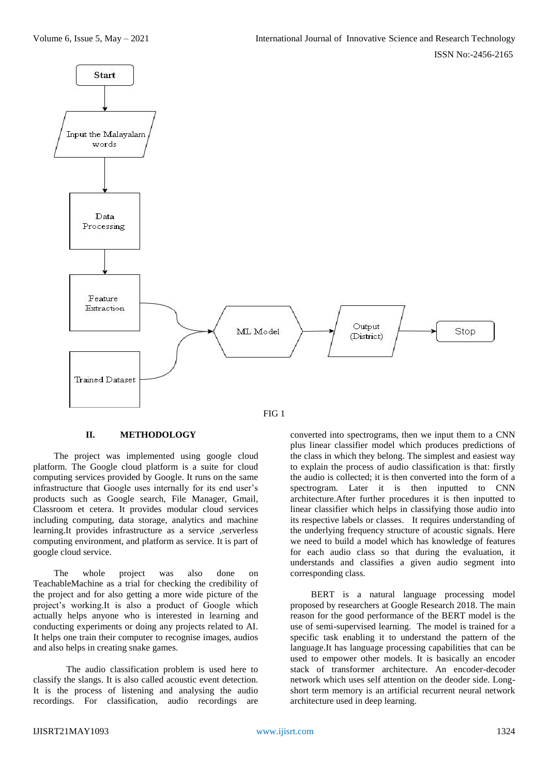

### **II. METHODOLOGY**

The project was implemented using google cloud platform. The Google cloud platform is a suite for cloud computing services provided by Google. It runs on the same infrastructure that Google uses internally for its end user's products such as Google search, File Manager, Gmail, Classroom et cetera. It provides modular cloud services including computing, data storage, analytics and machine learning.It provides infrastructure as a service ,serverless computing environment, and platform as service. It is part of google cloud service.

The whole project was also done on TeachableMachine as a trial for checking the credibility of the project and for also getting a more wide picture of the project's working.It is also a product of Google which actually helps anyone who is interested in learning and conducting experiments or doing any projects related to AI. It helps one train their computer to recognise images, audios and also helps in creating snake games.

The audio classification problem is used here to classify the slangs. It is also called acoustic event detection. It is the process of listening and analysing the audio recordings. For classification, audio recordings are

converted into spectrograms, then we input them to a CNN plus linear classifier model which produces predictions of the class in which they belong. The simplest and easiest way to explain the process of audio classification is that: firstly the audio is collected; it is then converted into the form of a spectrogram. Later it is then inputted to CNN architecture.After further procedures it is then inputted to linear classifier which helps in classifying those audio into its respective labels or classes. It requires understanding of the underlying frequency structure of acoustic signals. Here we need to build a model which has knowledge of features for each audio class so that during the evaluation, it understands and classifies a given audio segment into corresponding class.

BERT is a natural language processing model proposed by researchers at Google Research 2018. The main reason for the good performance of the BERT model is the use of semi-supervised learning. The model is trained for a specific task enabling it to understand the pattern of the language.It has language processing capabilities that can be used to empower other models. It is basically an encoder stack of transformer architecture. An encoder-decoder network which uses self attention on the deoder side. Longshort term memory is an artificial recurrent neural network architecture used in deep learning.